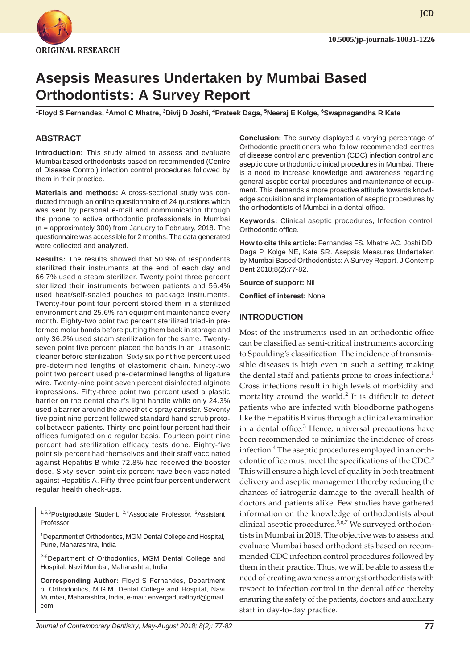

**JCD**

# **Asepsis Measures Undertaken by Mumbai Based Orthodontists: A Survey Report**

**1 Floyd S Fernandes, 2 Amol C Mhatre, 3 Divij D Joshi, 4 Prateek Daga, <sup>5</sup> Neeraj E Kolge, <sup>6</sup> Swapnagandha R Kate** 

### **ABSTRACT**

**Introduction:** This study aimed to assess and evaluate Mumbai based orthodontists based on recommended (Centre of Disease Control) infection control procedures followed by them in their practice.

**Materials and methods:** A cross-sectional study was conducted through an online questionnaire of 24 questions which was sent by personal e-mail and communication through the phone to active orthodontic professionals in Mumbai (n = approximately 300) from January to February, 2018. The questionnaire was accessible for 2 months. The data generated were collected and analyzed.

**Results:** The results showed that 50.9% of respondents sterilized their instruments at the end of each day and 66.7% used a steam sterilizer. Twenty point three percent sterilized their instruments between patients and 56.4% used heat/self-sealed pouches to package instruments. Twenty-four point four percent stored them in a sterilized environment and 25.6% ran equipment maintenance every month. Eighty-two point two percent sterilized tried-in preformed molar bands before putting them back in storage and only 36.2% used steam sterilization for the same. Twentyseven point five percent placed the bands in an ultrasonic cleaner before sterilization. Sixty six point five percent used pre-determined lengths of elastomeric chain. Ninety-two point two percent used pre-determined lengths of ligature wire. Twenty-nine point seven percent disinfected alginate impressions. Fifty-three point two percent used a plastic barrier on the dental chair's light handle while only 24.3% used a barrier around the anesthetic spray canister. Seventy five point nine percent followed standard hand scrub protocol between patients. Thirty-one point four percent had their offices fumigated on a regular basis. Fourteen point nine percent had sterilization efficacy tests done. Eighty-five point six percent had themselves and their staff vaccinated against Hepatitis B while 72.8% had received the booster dose. Sixty-seven point six percent have been vaccinated against Hepatitis A. Fifty-three point four percent underwent regular health check-ups.

<sup>1,5,6</sup>Postgraduate Student, <sup>2,4</sup>Associate Professor, <sup>3</sup>Assistant Professor

<sup>1</sup>Department of Orthodontics, MGM Dental College and Hospital, Pune, Maharashtra, India

<sup>2-6</sup>Department of Orthodontics, MGM Dental College and Hospital, Navi Mumbai, Maharashtra, India

**Corresponding Author:** Floyd S Fernandes, Department of Orthodontics, M.G.M. Dental College and Hospital, Navi Mumbai, Maharashtra, India, e-mail: envergadurafloyd@gmail. com

**Conclusion:** The survey displayed a varying percentage of Orthodontic practitioners who follow recommended centres of disease control and prevention (CDC) infection control and aseptic core orthodontic clinical procedures in Mumbai. There is a need to increase knowledge and awareness regarding general aseptic dental procedures and maintenance of equipment. This demands a more proactive attitude towards knowledge acquisition and implementation of aseptic procedures by the orthodontists of Mumbai in a dental office.

**Keywords:** Clinical aseptic procedures, Infection control, Orthodontic office.

**How to cite this article:** Fernandes FS, Mhatre AC, Joshi DD, Daga P, Kolge NE, Kate SR. Asepsis Measures Undertaken by Mumbai Based Orthodontists: A Survey Report. J Contemp Dent 2018;8(2):77-82.

**Source of support:** Nil

**Conflict of interest:** None

#### **INTRODUCTION**

Most of the instruments used in an orthodontic office can be classified as semi-critical instruments according to Spaulding's classification. The incidence of transmissible diseases is high even in such a setting making the dental staff and patients prone to cross infections.<sup>1</sup> Cross infections result in high levels of morbidity and mortality around the world. $2$  It is difficult to detect patients who are infected with bloodborne pathogens like the Hepatitis B virus through a clinical examination in a dental office.<sup>3</sup> Hence, universal precautions have been recommended to minimize the incidence of cross infection.4 The aseptic procedures employed in an orthodontic office must meet the specifications of the CDC.<sup>5</sup> This will ensure a high level of quality in both treatment delivery and aseptic management thereby reducing the chances of iatrogenic damage to the overall health of doctors and patients alike. Few studies have gathered information on the knowledge of orthodontists about clinical aseptic procedures. $3,6,7$  We surveyed orthodontists in Mumbai in 2018. The objective was to assess and evaluate Mumbai based orthodontists based on recommended CDC infection control procedures followed by them in their practice. Thus, we will be able to assess the need of creating awareness amongst orthodontists with respect to infection control in the dental office thereby ensuring the safety of the patients, doctors and auxiliary staff in day-to-day practice.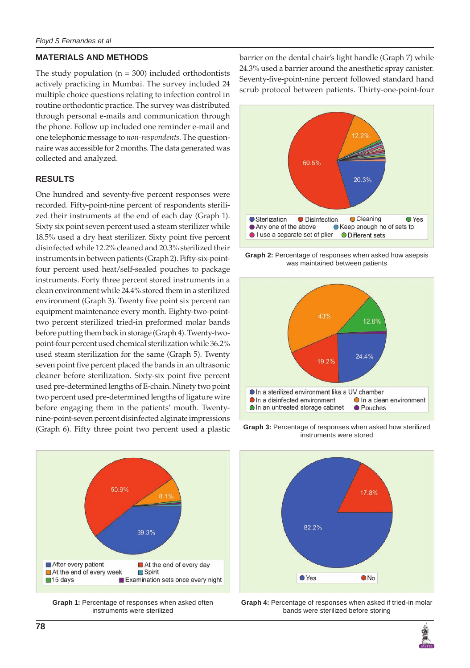#### **MATERIALS AND METHODS**

The study population  $(n = 300)$  included orthodontists actively practicing in Mumbai. The survey included 24 multiple choice questions relating to infection control in routine orthodontic practice. The survey was distributed through personal e-mails and communication through the phone. Follow up included one reminder e-mail and one telephonic message to *non-respondents*. The questionnaire was accessible for 2 months. The data generated was collected and analyzed.

### **RESULTS**

One hundred and seventy-five percent responses were recorded. Fifty-point-nine percent of respondents sterilized their instruments at the end of each day (Graph 1). Sixty six point seven percent used a steam sterilizer while 18.5% used a dry heat sterilizer. Sixty point five percent disinfected while 12.2% cleaned and 20.3% sterilized their instruments in between patients (Graph 2). Fifty-six-pointfour percent used heat/self-sealed pouches to package instruments. Forty three percent stored instruments in a clean environment while 24.4% stored them in a sterilized environment (Graph 3). Twenty five point six percent ran equipment maintenance every month. Eighty-two-pointtwo percent sterilized tried-in preformed molar bands before putting them back in storage (Graph 4). Twenty-twopoint-four percent used chemical sterilization while 36.2% used steam sterilization for the same (Graph 5). Twenty seven point five percent placed the bands in an ultrasonic cleaner before sterilization. Sixty-six point five percent used pre-determined lengths of E-chain. Ninety two point two percent used pre-determined lengths of ligature wire before engaging them in the patients' mouth. Twentynine-point-seven percent disinfected alginate impressions (Graph 6). Fifty three point two percent used a plastic



**Graph 1:** Percentage of responses when asked often instruments were sterilized

barrier on the dental chair's light handle (Graph 7) while 24.3% used a barrier around the anesthetic spray canister. Seventy-five-point-nine percent followed standard hand scrub protocol between patients. Thirty-one-point-four



**Graph 2:** Percentage of responses when asked how asepsis was maintained between patients



**Graph 3:** Percentage of responses when asked how sterilized instruments were stored



**Graph 4:** Percentage of responses when asked if tried-in molar bands were sterilized before storing

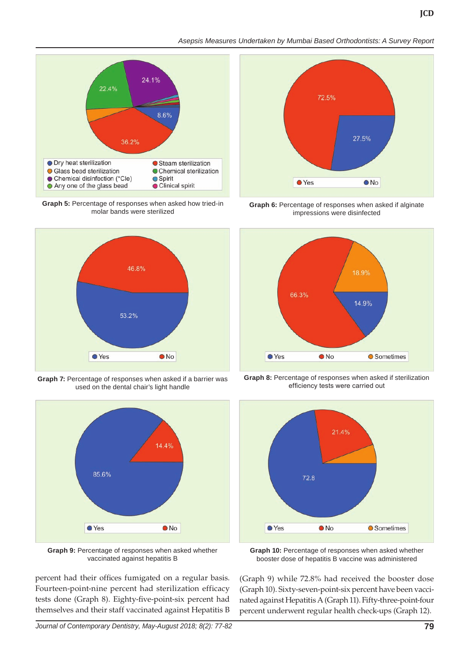**JCD**

*Asepsis Measures Undertaken by Mumbai Based Orthodontists: A Survey Report*



**Graph 5:** Percentage of responses when asked how tried-in molar bands were sterilized



**Graph 7:** Percentage of responses when asked if a barrier was used on the dental chair's light handle



**Graph 9:** Percentage of responses when asked whether vaccinated against hepatitis B

percent had their offices fumigated on a regular basis. Fourteen-point-nine percent had sterilization efficacy tests done (Graph 8). Eighty-five-point-six percent had themselves and their staff vaccinated against Hepatitis B



**Graph 6:** Percentage of responses when asked if alginate impressions were disinfected



**Graph 8:** Percentage of responses when asked if sterilization efficiency tests were carried out



**Graph 10:** Percentage of responses when asked whether booster dose of hepatitis B vaccine was administered

(Graph 9) while 72.8% had received the booster dose (Graph 10). Sixty-seven-point-six percent have been vaccinated against Hepatitis A (Graph 11). Fifty-three-point-four percent underwent regular health check-ups (Graph 12).

*Journal of Contemporary Dentistry, May-August 2018; 8(2): 77-82* **79**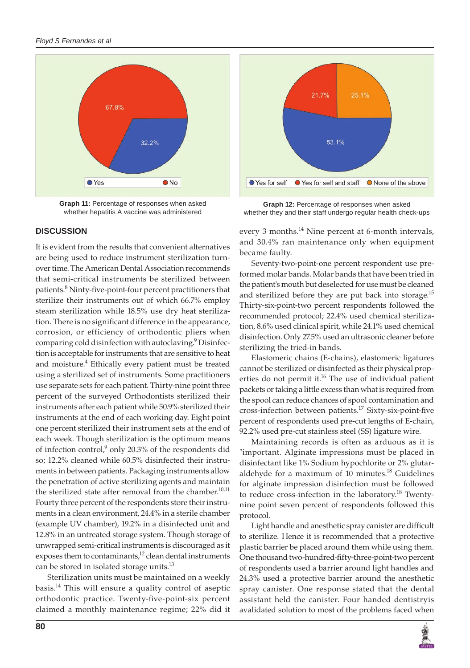

**Graph 11:** Percentage of responses when asked whether hepatitis A vaccine was administered

### **DISCUSSION**

It is evident from the results that convenient alternatives are being used to reduce instrument sterilization turnover time. The American Dental Association recommends that semi-critical instruments be sterilized between patients.<sup>8</sup> Ninty-five-point-four percent practitioners that sterilize their instruments out of which 66.7% employ steam sterilization while 18.5% use dry heat sterilization. There is no significant difference in the appearance, corrosion, or efficiency of orthodontic pliers when comparing cold disinfection with autoclaving.<sup>9</sup> Disinfection is acceptable for instruments that are sensitive to heat and moisture.<sup>4</sup> Ethically every patient must be treated using a sterilized set of instruments. Some practitioners use separate sets for each patient. Thirty-nine point three percent of the surveyed Orthodontists sterilized their instruments after each patient while 50.9% sterilized their instruments at the end of each working day. Eight point one percent sterilized their instrument sets at the end of each week. Though sterilization is the optimum means of infection control,<sup>9</sup> only 20.3% of the respondents did so; 12.2% cleaned while 60.5% disinfected their instruments in between patients. Packaging instruments allow the penetration of active sterilizing agents and maintain the sterilized state after removal from the chamber.<sup>10,11</sup> Fourty three percent of the respondents store their instruments in a clean environment, 24.4% in a sterile chamber (example UV chamber), 19.2% in a disinfected unit and 12.8% in an untreated storage system. Though storage of unwrapped semi-critical instruments is discouraged as it exposes them to contaminants, $12$  clean dental instruments can be stored in isolated storage units.<sup>13</sup>

Sterilization units must be maintained on a weekly basis.14 This will ensure a quality control of aseptic orthodontic practice. Twenty-five-point-six percent claimed a monthly maintenance regime; 22% did it



**Graph 12:** Percentage of responses when asked whether they and their staff undergo regular health check-ups

every 3 months.<sup>14</sup> Nine percent at 6-month intervals, and 30.4% ran maintenance only when equipment became faulty.

Seventy-two-point-one percent respondent use preformed molar bands. Molar bands that have been tried in the patient's mouth but deselected for use must be cleaned and sterilized before they are put back into storage.<sup>15</sup> Thirty-six-point-two percent respondents followed the recommended protocol; 22.4% used chemical sterilization, 8.6% used clinical spirit, while 24.1% used chemical disinfection. Only 27.5% used an ultrasonic cleaner before sterilizing the tried-in bands.

Elastomeric chains (E-chains), elastomeric ligatures cannot be sterilized or disinfected as their physical properties do not permit it. $16$  The use of individual patient packets or taking a little excess than what is required from the spool can reduce chances of spool contamination and cross-infection between patients.<sup>17</sup> Sixty-six-point-five percent of respondents used pre-cut lengths of E-chain, 92.2% used pre-cut stainless steel (SS) ligature wire.

Maintaining records is often as arduous as it is "important. Alginate impressions must be placed in disinfectant like 1% Sodium hypochlorite or 2% glutaraldehyde for a maximum of 10 minutes.<sup>18</sup> Guidelines for alginate impression disinfection must be followed to reduce cross-infection in the laboratory.<sup>18</sup> Twentynine point seven percent of respondents followed this protocol.

Light handle and anesthetic spray canister are difficult to sterilize. Hence it is recommended that a protective plastic barrier be placed around them while using them. One thousand two-hundred-fifty-three-point-two percent of respondents used a barrier around light handles and 24.3% used a protective barrier around the anesthetic spray canister. One response stated that the dental assistant held the canister. Four handed dentistryis avalidated solution to most of the problems faced when

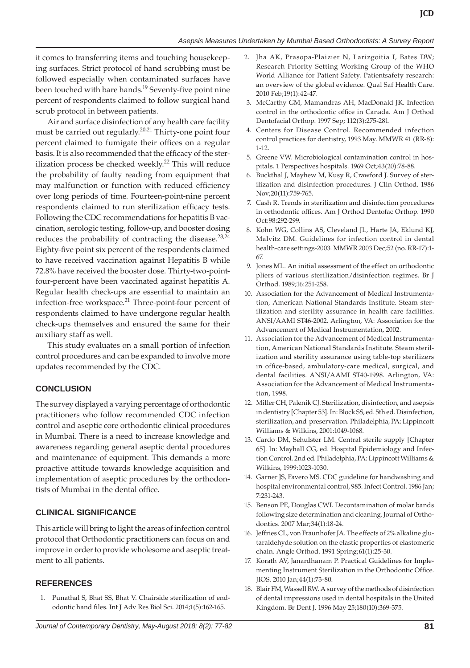it comes to transferring items and touching housekeeping surfaces. Strict protocol of hand scrubbing must be followed especially when contaminated surfaces have been touched with bare hands.<sup>19</sup> Seventy-five point nine percent of respondents claimed to follow surgical hand scrub protocol in between patients.

Air and surface disinfection of any health care facility must be carried out regularly.<sup>20,21</sup> Thirty-one point four percent claimed to fumigate their offices on a regular basis. It is also recommended that the efficacy of the sterilization process be checked weekly.<sup>22</sup> This will reduce the probability of faulty reading from equipment that may malfunction or function with reduced efficiency over long periods of time. Fourteen-point-nine percent respondents claimed to run sterilization efficacy tests. Following the CDC recommendations for hepatitis B vaccination, serologic testing, follow-up, and booster dosing reduces the probability of contracting the disease. $23,24$ Eighty-five point six percent of the respondents claimed to have received vaccination against Hepatitis B while 72.8% have received the booster dose. Thirty-two-pointfour-percent have been vaccinated against hepatitis A. Regular health check-ups are essential to maintain an infection-free workspace.<sup>21</sup> Three-point-four percent of respondents claimed to have undergone regular health check-ups themselves and ensured the same for their auxiliary staff as well.

This study evaluates on a small portion of infection control procedures and can be expanded to involve more updates recommended by the CDC.

## **CONCLUSION**

The survey displayed a varying percentage of orthodontic practitioners who follow recommended CDC infection control and aseptic core orthodontic clinical procedures in Mumbai. There is a need to increase knowledge and awareness regarding general aseptic dental procedures and maintenance of equipment. This demands a more proactive attitude towards knowledge acquisition and implementation of aseptic procedures by the orthodontists of Mumbai in the dental office.

### **CLINICAL SIGNIFICANCE**

This article will bring to light the areas of infection control protocol that Orthodontic practitioners can focus on and improve in order to provide wholesome and aseptic treatment to all patients.

### **REFERENCES**

1. Punathal S, Bhat SS, Bhat V. Chairside sterilization of endodontic hand files. Int J Adv Res Biol Sci. 2014;1(5):162-165.

- 2. Jha AK, Prasopa-Plaizier N, Larizgoitia I, Bates DW; Research Priority Setting Working Group of the WHO World Alliance for Patient Safety. Patientsafety research: an overview of the global evidence. Qual Saf Health Care. 2010 Feb;19(1):42-47.
- 3. McCarthy GM, Mamandras AH, MacDonald JK. Infection control in the orthodontic office in Canada. Am J Orthod Dentofacial Orthop. 1997 Sep; 112(3):275-281.
- 4. Centers for Disease Control. Recommended infection control practices for dentistry, 1993 May. MMWR 41 (RR-8): 1-12.
- 5. Greene VW. Microbiological contamination control in hospitals. 1 Perspectives hospitals. 1969 Oct;43(20):78-88.
- 6. Buckthal J, Mayhew M, Kusy R, Crawford J. Survey of sterilization and disinfection procedures. J Clin Orthod. 1986 Nov;20(11):759-765.
- 7. Cash R. Trends in sterilization and disinfection procedures in orthodontic offices. Am J Orthod Dentofac Orthop. 1990 Oct:98:292-299.
- 8. Kohn WG, Collins AS, Cleveland JL, Harte JA, Eklund KJ, Malvitz DM. Guidelines for infection control in dental health-care settings-2003. MMWR 2003 Dec;52 (no. RR-17):1- 67.
- 9. Jones ML. An initial assessment of the effect on orthodontic pliers of various sterilization/disinfection regimes. Br J Orthod. 1989;16:251-258.
- 10. Association for the Advancement of Medical Instrumentation, American National Standards Institute. Steam sterilization and sterility assurance in health care facilities. ANSI/AAMI ST46-2002. Arlington, VA: Association for the Advancement of Medical Instrumentation, 2002.
- 11. Association for the Advancement of Medical Instrumentation, American National Standards Institute. Steam sterilization and sterility assurance using table-top sterilizers in office-based, ambulatory-care medical, surgical, and dental facilities. ANSI/AAMI ST40-1998. Arlington, VA: Association for the Advancement of Medical Instrumentation, 1998.
- 12. Miller CH, Palenik CJ. Sterilization, disinfection, and asepsis in dentistry [Chapter 53]. In: Block SS, ed. 5th ed. Disinfection, sterilization, and preservation. Philadelphia, PA: Lippincott Williams & Wilkins, 2001:1049-1068.
- 13. Cardo DM, Sehulster LM. Central sterile supply [Chapter 65]. In: Mayhall CG, ed. Hospital Epidemiology and Infection Control. 2nd ed. Philadelphia, PA: Lippincott Williams & Wilkins, 1999:1023-1030.
- 14. Garner JS, Favero MS. CDC guideline for handwashing and hospital environmental control, 985. Infect Control. 1986 Jan; 7:231-243.
- 15. Benson PE, Douglas CWI. Decontamination of molar bands following size determination and cleaning. Journal of Orthodontics. 2007 Mar;34(1):18-24.
- 16. Jeffries CL, von Fraunhofer JA. The effects of 2% alkaline glutaraldehyde solution on the elastic properties of elastomeric chain. Angle Orthod. 1991 Spring;61(1):25-30.
- 17. Korath AV, Janardhanam P. Practical Guidelines for Implementing Instrument Sterilization in the Orthodontic Office. JIOS. 2010 Jan;44(1):73-80.
- 18. Blair FM, Wassell RW. A survey of the methods of disinfection of dental impressions used in dental hospitals in the United Kingdom. Br Dent J. 1996 May 25;180(10):369-375.